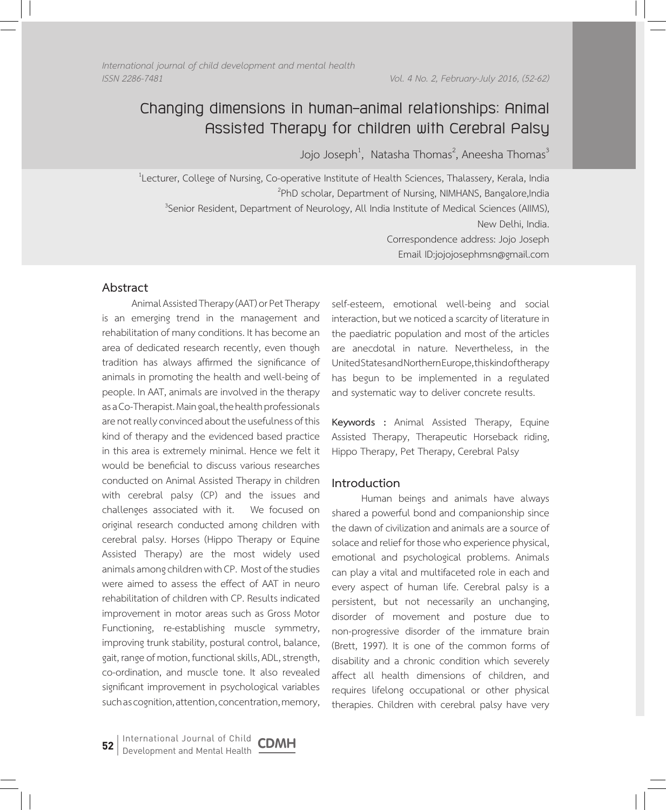*Vol. 4 No. 2, February-July 2016, (52-62) International journal of child development and mental health ISSN 2286-7481 Vol. 4 No. 2, February-July 2016, (52-62)*

# **Changing dimensions in human–animal relationships: Animal Assisted Therapy for children with Cerebral Palsy**

Jojo Joseph $^1$ , Natasha Thomas $^2$ , Aneesha Thomas $^3$ 

<sup>1</sup> Lecturer, College of Nursing, Co-operative Institute of Health Sciences, Thalassery, Kerala, India <sup>2</sup>PhD scholar, Department of Nursing, NIMHANS, Bangalore,India<sup>3</sup><br>Senior Resident, Department of Neurology, All India Institute of Medical Sciences (AIIMS) <sup>3</sup> Senior Resident, Department of Neurology, All India Institute of Medical Sciences (AIIMS), New Delhi, India. Correspondence address: Jojo Joseph Email ID:jojojosephmsn@gmail.com

# **Abstract**

Animal Assisted Therapy (AAT) or Pet Therapy is an emerging trend in the management and rehabilitation of many conditions. It has become an area of dedicated research recently, even though tradition has always affirmed the significance of animals in promoting the health and well-being of people. In AAT, animals are involved in the therapy as a Co-Therapist. Main goal, the health professionals are not really convinced about the usefulness of this kind of therapy and the evidenced based practice in this area is extremely minimal. Hence we felt it would be beneficial to discuss various researches conducted on Animal Assisted Therapy in children with cerebral palsy (CP) and the issues and challenges associated with it. We focused on original research conducted among children with cerebral palsy. Horses (Hippo Therapy or Equine Assisted Therapy) are the most widely used animals among children with CP. Most of the studies were aimed to assess the effect of AAT in neuro rehabilitation of children with CP. Results indicated improvement in motor areas such as Gross Motor Functioning, re-establishing muscle symmetry, improving trunk stability, postural control, balance, gait, range of motion, functional skills, ADL, strength, co-ordination, and muscle tone. It also revealed significant improvement in psychological variables such as cognition, attention, concentration, memory,

self-esteem, emotional well-being and social interaction, but we noticed a scarcity of literature in the paediatric population and most of the articles are anecdotal in nature. Nevertheless, in the United States and Northern Europe, this kind of therapy has begun to be implemented in a regulated and systematic way to deliver concrete results.

**Keywords :** Animal Assisted Therapy, Equine Assisted Therapy, Therapeutic Horseback riding, Hippo Therapy, Pet Therapy, Cerebral Palsy

### **Introduction**

Human beings and animals have always shared a powerful bond and companionship since the dawn of civilization and animals are a source of solace and relief for those who experience physical, emotional and psychological problems. Animals can play a vital and multifaceted role in each and every aspect of human life. Cerebral palsy is a persistent, but not necessarily an unchanging, disorder of movement and posture due to non-progressive disorder of the immature brain (Brett, 1997). It is one of the common forms of disability and a chronic condition which severely affect all health dimensions of children, and requires lifelong occupational or other physical therapies. Children with cerebral palsy have very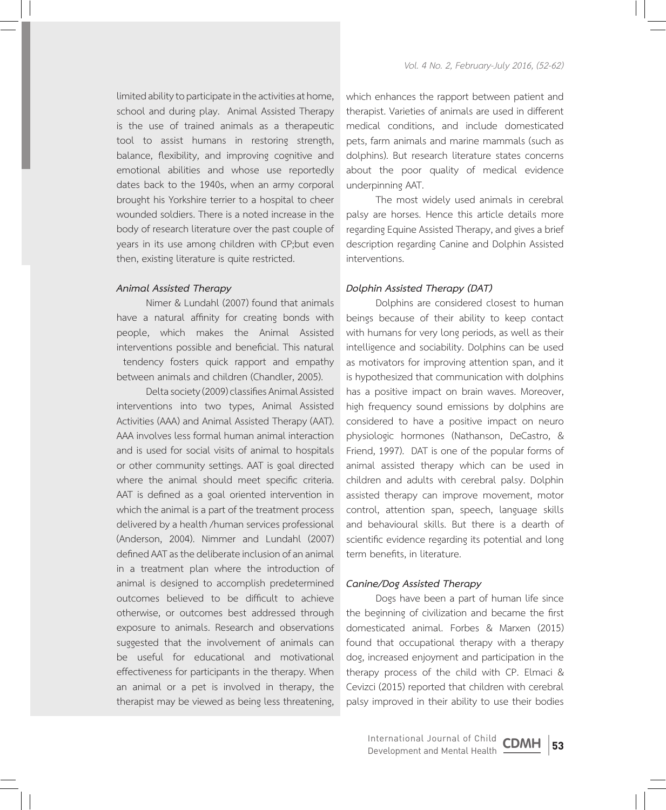limited ability to participate in the activities at home, school and during play. Animal Assisted Therapy is the use of trained animals as a therapeutic tool to assist humans in restoring strength, balance, flexibility, and improving cognitive and emotional abilities and whose use reportedly dates back to the 1940s, when an army corporal brought his Yorkshire terrier to a hospital to cheer wounded soldiers. There is a noted increase in the body of research literature over the past couple of years in its use among children with CP;but even then, existing literature is quite restricted.

### *Animal Assisted Therapy*

Nimer & Lundahl (2007) found that animals have a natural affinity for creating bonds with people, which makes the Animal Assisted interventions possible and beneficial. This natural tendency fosters quick rapport and empathy between animals and children (Chandler, 2005).

Delta society (2009) classifies Animal Assisted interventions into two types, Animal Assisted Activities (AAA) and Animal Assisted Therapy (AAT). AAA involves less formal human animal interaction and is used for social visits of animal to hospitals or other community settings. AAT is goal directed where the animal should meet specific criteria. AAT is defined as a goal oriented intervention in which the animal is a part of the treatment process delivered by a health /human services professional (Anderson, 2004). Nimmer and Lundahl (2007) defined AAT as the deliberate inclusion of an animal in a treatment plan where the introduction of animal is designed to accomplish predetermined outcomes believed to be difficult to achieve otherwise, or outcomes best addressed through exposure to animals. Research and observations suggested that the involvement of animals can be useful for educational and motivational effectiveness for participants in the therapy. When an animal or a pet is involved in therapy, the therapist may be viewed as being less threatening,

which enhances the rapport between patient and therapist. Varieties of animals are used in different medical conditions, and include domesticated pets, farm animals and marine mammals (such as dolphins). But research literature states concerns about the poor quality of medical evidence underpinning AAT.

The most widely used animals in cerebral palsy are horses. Hence this article details more regarding Equine Assisted Therapy, and gives a brief description regarding Canine and Dolphin Assisted interventions.

### *Dolphin Assisted Therapy (DAT)*

Dolphins are considered closest to human beings because of their ability to keep contact with humans for very long periods, as well as their intelligence and sociability. Dolphins can be used as motivators for improving attention span, and it is hypothesized that communication with dolphins has a positive impact on brain waves. Moreover, high frequency sound emissions by dolphins are considered to have a positive impact on neuro physiologic hormones (Nathanson, DeCastro, & Friend, 1997). DAT is one of the popular forms of animal assisted therapy which can be used in children and adults with cerebral palsy. Dolphin assisted therapy can improve movement, motor control, attention span, speech, language skills and behavioural skills. But there is a dearth of scientific evidence regarding its potential and long term benefits, in literature.

#### *Canine/Dog Assisted Therapy*

Dogs have been a part of human life since the beginning of civilization and became the first domesticated animal. Forbes & Marxen (2015) found that occupational therapy with a therapy dog, increased enjoyment and participation in the therapy process of the child with CP. Elmaci & Cevizci (2015) reported that children with cerebral palsy improved in their ability to use their bodies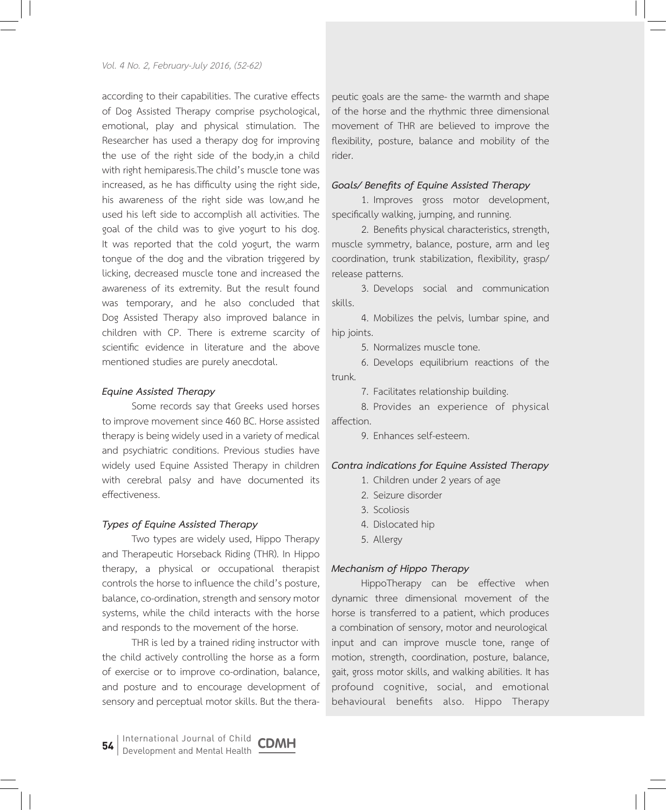according to their capabilities. The curative effects of Dog Assisted Therapy comprise psychological, emotional, play and physical stimulation. The Researcher has used a therapy dog for improving the use of the right side of the body,in a child with right hemiparesis.The child's muscle tone was increased, as he has difficulty using the right side, his awareness of the right side was low,and he used his left side to accomplish all activities. The goal of the child was to give yogurt to his dog. It was reported that the cold yogurt, the warm tongue of the dog and the vibration triggered by licking, decreased muscle tone and increased the awareness of its extremity. But the result found was temporary, and he also concluded that Dog Assisted Therapy also improved balance in children with CP. There is extreme scarcity of scientific evidence in literature and the above mentioned studies are purely anecdotal.

### *Equine Assisted Therapy*

Some records say that Greeks used horses to improve movement since 460 BC. Horse assisted therapy is being widely used in a variety of medical and psychiatric conditions. Previous studies have widely used Equine Assisted Therapy in children with cerebral palsy and have documented its effectiveness.

#### *Types of Equine Assisted Therapy*

Two types are widely used, Hippo Therapy and Therapeutic Horseback Riding (THR). In Hippo therapy, a physical or occupational therapist controls the horse to influence the child's posture, balance, co-ordination, strength and sensory motor systems, while the child interacts with the horse and responds to the movement of the horse.

THR is led by a trained riding instructor with the child actively controlling the horse as a form of exercise or to improve co-ordination, balance, and posture and to encourage development of sensory and perceptual motor skills. But the thera-

peutic goals are the same- the warmth and shape of the horse and the rhythmic three dimensional movement of THR are believed to improve the flexibility, posture, balance and mobility of the rider.

#### *Goals/ Benefits of Equine Assisted Therapy*

1. Improves gross motor development, specifically walking, jumping, and running.

2. Benefits physical characteristics, strength, muscle symmetry, balance, posture, arm and leg coordination, trunk stabilization, flexibility, grasp/ release patterns.

3. Develops social and communication skills.

4. Mobilizes the pelvis, lumbar spine, and hip joints.

5. Normalizes muscle tone.

6. Develops equilibrium reactions of the trunk.

7. Facilitates relationship building.

8. Provides an experience of physical affection.

9. Enhances self-esteem.

#### *Contra indications for Equine Assisted Therapy*

- 1. Children under 2 years of age
- 2. Seizure disorder
- 3. Scoliosis
- 4. Dislocated hip
- 5. Allergy

#### *Mechanism of Hippo Therapy*

HippoTherapy can be effective when dynamic three dimensional movement of the horse is transferred to a patient, which produces a combination of sensory, motor and neurological input and can improve muscle tone, range of motion, strength, coordination, posture, balance, gait, gross motor skills, and walking abilities. It has profound cognitive, social, and emotional behavioural benefits also. Hippo Therapy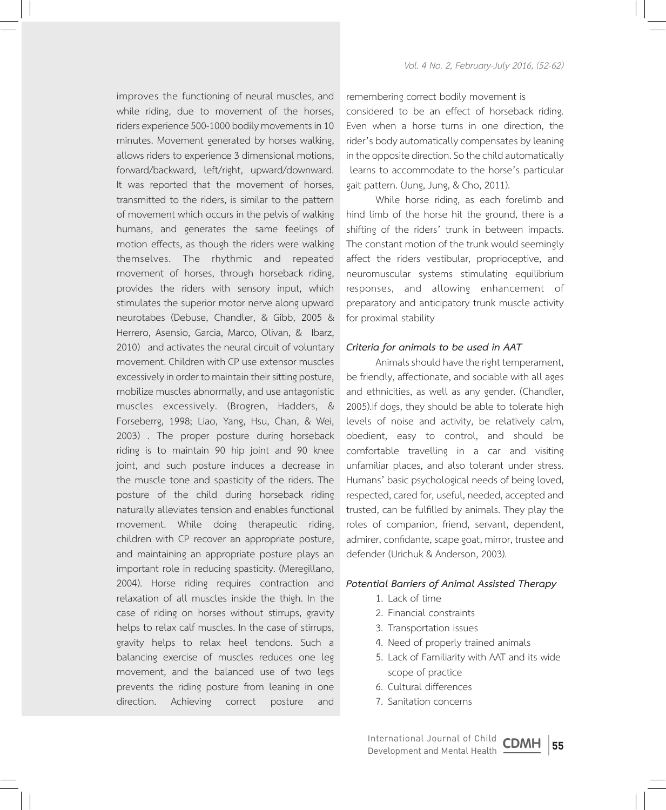improves the functioning of neural muscles, and while riding, due to movement of the horses, riders experience 500-1000 bodily movements in 10 minutes. Movement generated by horses walking, allows riders to experience 3 dimensional motions, forward/backward, left/right, upward/downward. It was reported that the movement of horses, transmitted to the riders, is similar to the pattern of movement which occurs in the pelvis of walking humans, and generates the same feelings of motion effects, as though the riders were walking themselves. The rhythmic and repeated movement of horses, through horseback riding, provides the riders with sensory input, which stimulates the superior motor nerve along upward neurotabes (Debuse, Chandler, & Gibb, 2005 & Herrero, Asensio, Garcia, Marco, Olivan, & Ibarz, 2010) and activates the neural circuit of voluntary movement. Children with CP use extensor muscles excessively in order to maintain their sitting posture, mobilize muscles abnormally, and use antagonistic muscles excessively. (Brogren, Hadders, & Forseberrg, 1998; Liao, Yang, Hsu, Chan, & Wei, 2003) . The proper posture during horseback riding is to maintain 90 hip joint and 90 knee joint, and such posture induces a decrease in the muscle tone and spasticity of the riders. The posture of the child during horseback riding naturally alleviates tension and enables functional movement. While doing therapeutic riding, children with CP recover an appropriate posture, and maintaining an appropriate posture plays an important role in reducing spasticity. (Meregillano, 2004). Horse riding requires contraction and relaxation of all muscles inside the thigh. In the case of riding on horses without stirrups, gravity helps to relax calf muscles. In the case of stirrups, gravity helps to relax heel tendons. Such a balancing exercise of muscles reduces one leg movement, and the balanced use of two legs prevents the riding posture from leaning in one direction. Achieving correct posture and

remembering correct bodily movement is considered to be an effect of horseback riding. Even when a horse turns in one direction, the rider's body automatically compensates by leaning in the opposite direction. So the child automatically learns to accommodate to the horse's particular gait pattern. (Jung, Jung, & Cho, 2011).

While horse riding, as each forelimb and hind limb of the horse hit the ground, there is a shifting of the riders' trunk in between impacts. The constant motion of the trunk would seemingly affect the riders vestibular, proprioceptive, and neuromuscular systems stimulating equilibrium responses, and allowing enhancement of preparatory and anticipatory trunk muscle activity for proximal stability

### *Criteria for animals to be used in AAT*

Animals should have the right temperament, be friendly, affectionate, and sociable with all ages and ethnicities, as well as any gender. (Chandler, 2005).If dogs, they should be able to tolerate high levels of noise and activity, be relatively calm, obedient, easy to control, and should be comfortable travelling in a car and visiting unfamiliar places, and also tolerant under stress. Humans' basic psychological needs of being loved, respected, cared for, useful, needed, accepted and trusted, can be fulfilled by animals. They play the roles of companion, friend, servant, dependent, admirer, confidante, scape goat, mirror, trustee and defender (Urichuk & Anderson, 2003).

#### *Potential Barriers of Animal Assisted Therapy*

- 1. Lack of time
- 2. Financial constraints
- 3. Transportation issues
- 4. Need of properly trained animals
- 5. Lack of Familiarity with AAT and its wide scope of practice
- 6. Cultural differences
- 7. Sanitation concerns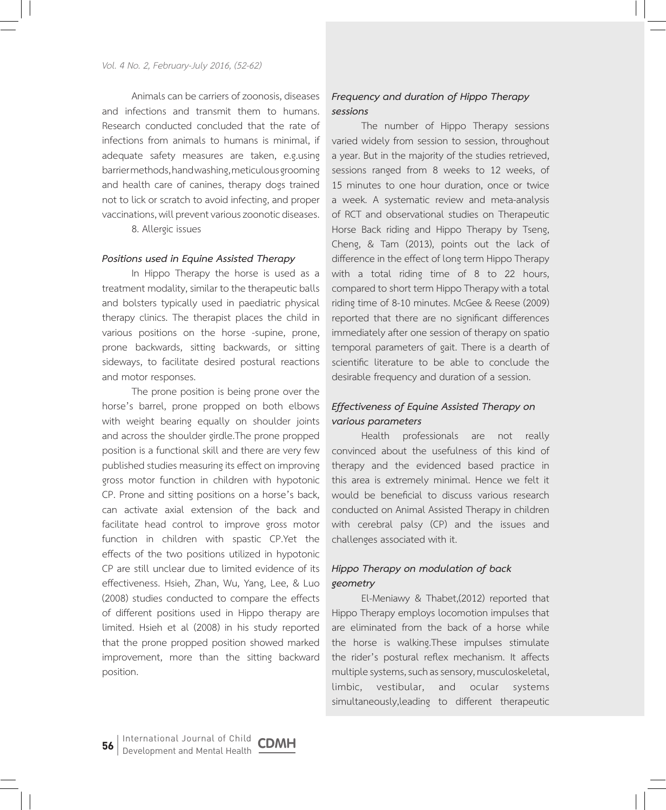Animals can be carriers of zoonosis, diseases and infections and transmit them to humans. Research conducted concluded that the rate of infections from animals to humans is minimal, if adequate safety measures are taken, e.g.using barrier methods, hand washing, meticulous grooming and health care of canines, therapy dogs trained not to lick or scratch to avoid infecting, and proper vaccinations, will prevent various zoonotic diseases.

8. Allergic issues

### *Positions used in Equine Assisted Therapy*

In Hippo Therapy the horse is used as a treatment modality, similar to the therapeutic balls and bolsters typically used in paediatric physical therapy clinics. The therapist places the child in various positions on the horse -supine, prone, prone backwards, sitting backwards, or sitting sideways, to facilitate desired postural reactions and motor responses.

The prone position is being prone over the horse's barrel, prone propped on both elbows with weight bearing equally on shoulder joints and across the shoulder girdle.The prone propped position is a functional skill and there are very few published studies measuring its effect on improving gross motor function in children with hypotonic CP. Prone and sitting positions on a horse's back, can activate axial extension of the back and facilitate head control to improve gross motor function in children with spastic CP.Yet the effects of the two positions utilized in hypotonic CP are still unclear due to limited evidence of its effectiveness. Hsieh, Zhan, Wu, Yang, Lee, & Luo (2008) studies conducted to compare the effects of different positions used in Hippo therapy are limited. Hsieh et al (2008) in his study reported that the prone propped position showed marked improvement, more than the sitting backward position.

# *Frequency and duration of Hippo Therapy sessions*

The number of Hippo Therapy sessions varied widely from session to session, throughout a year. But in the majority of the studies retrieved, sessions ranged from 8 weeks to 12 weeks, of 15 minutes to one hour duration, once or twice a week. A systematic review and meta-analysis of RCT and observational studies on Therapeutic Horse Back riding and Hippo Therapy by Tseng, Cheng, & Tam (2013), points out the lack of difference in the effect of long term Hippo Therapy with a total riding time of 8 to 22 hours, compared to short term Hippo Therapy with a total riding time of 8-10 minutes. McGee & Reese (2009) reported that there are no significant differences immediately after one session of therapy on spatio temporal parameters of gait. There is a dearth of scientific literature to be able to conclude the desirable frequency and duration of a session.

# *Effectiveness of Equine Assisted Therapy on various parameters*

Health professionals are not really convinced about the usefulness of this kind of therapy and the evidenced based practice in this area is extremely minimal. Hence we felt it would be beneficial to discuss various research conducted on Animal Assisted Therapy in children with cerebral palsy (CP) and the issues and challenges associated with it.

# *Hippo Therapy on modulation of back geometry*

El-Meniawy & Thabet,(2012) reported that Hippo Therapy employs locomotion impulses that are eliminated from the back of a horse while the horse is walking.These impulses stimulate the rider's postural reflex mechanism. It affects multiple systems, such as sensory, musculoskeletal, limbic, vestibular, and ocular systems simultaneously,leading to different therapeutic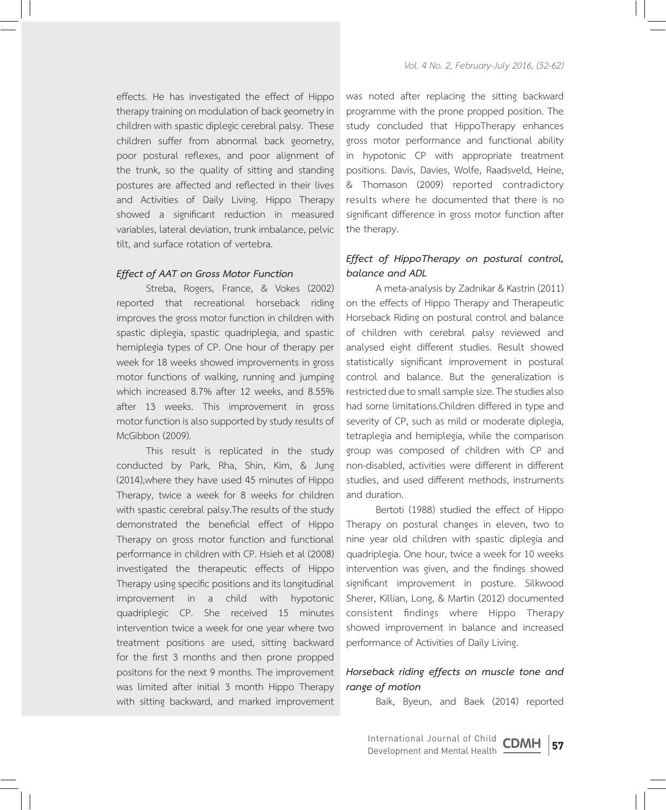effects. He has investigated the effect of Hippo therapy training on modulation of back geometry in children with spastic diplegic cerebral palsy. These children suffer from abnormal back geometry, poor postural reflexes, and poor alignment of the trunk, so the quality of sitting and standing postures are affected and reflected in their lives and Activities of Daily Living. Hippo Therapy showed a significant reduction in measured variables, lateral deviation, trunk imbalance, pelvic tilt, and surface rotation of vertebra.

### *Effect of AAT on Gross Motor Function*

Streba, Rogers, France, & Vokes (2002) reported that recreational horseback riding improves the gross motor function in children with spastic diplegia, spastic quadriplegia, and spastic hemiplegia types of CP. One hour of therapy per week for 18 weeks showed improvements in gross motor functions of walking, running and jumping which increased 8.7% after 12 weeks, and 8.55% after 13 weeks. This improvement in gross motor function is also supported by study results of McGibbon (2009).

This result is replicated in the study conducted by Park, Rha, Shin, Kim, & Jung (2014),where they have used 45 minutes of Hippo Therapy, twice a week for 8 weeks for children with spastic cerebral palsy.The results of the study demonstrated the beneficial effect of Hippo Therapy on gross motor function and functional performance in children with CP. Hsieh et al (2008) investigated the therapeutic effects of Hippo Therapy using specific positions and its longitudinal improvement in a child with hypotonic quadriplegic CP. She received 15 minutes intervention twice a week for one year where two treatment positions are used, sitting backward for the first 3 months and then prone propped positons for the next 9 months. The improvement was limited after initial 3 month Hippo Therapy with sitting backward, and marked improvement

was noted after replacing the sitting backward programme with the prone propped position. The study concluded that HippoTherapy enhances gross motor performance and functional ability in hypotonic CP with appropriate treatment positions. Davis, Davies, Wolfe, Raadsveld, Heine, & Thomason (2009) reported contradictory results where he documented that there is no significant difference in gross motor function after the therapy.

# *Effect of HippoTherapy on postural control, balance and ADL*

A meta-analysis by Zadnikar & Kastrin (2011) on the effects of Hippo Therapy and Therapeutic Horseback Riding on postural control and balance of children with cerebral palsy reviewed and analysed eight different studies. Result showed statistically significant improvement in postural control and balance. But the generalization is restricted due to small sample size. The studies also had some limitations.Children differed in type and severity of CP, such as mild or moderate diplegia, tetraplegia and hemiplegia, while the comparison group was composed of children with CP and non-disabled, activities were different in different studies, and used different methods, instruments and duration.

Bertoti (1988) studied the effect of Hippo Therapy on postural changes in eleven, two to nine year old children with spastic diplegia and quadriplegia. One hour, twice a week for 10 weeks intervention was given, and the findings showed significant improvement in posture. Silkwood Sherer, Killian, Long, & Martin (2012) documented consistent findings where Hippo Therapy showed improvement in balance and increased performance of Activities of Daily Living.

# *Horseback riding effects on muscle tone and range of motion*

Baik, Byeun, and Baek (2014) reported

**57** International Journal of Child **CDMH**<br>Development and Mental Health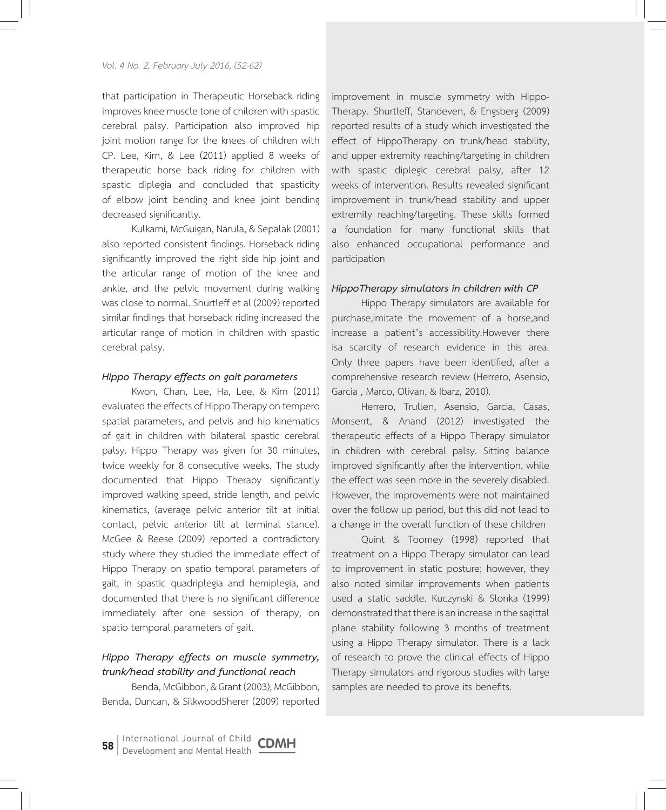that participation in Therapeutic Horseback riding improves knee muscle tone of children with spastic cerebral palsy. Participation also improved hip joint motion range for the knees of children with CP. Lee, Kim, & Lee (2011) applied 8 weeks of therapeutic horse back riding for children with spastic diplegia and concluded that spasticity of elbow joint bending and knee joint bending decreased significantly.

Kulkarni, McGuigan, Narula, & Sepalak (2001) also reported consistent findings. Horseback riding significantly improved the right side hip joint and the articular range of motion of the knee and ankle, and the pelvic movement during walking was close to normal. Shurtleff et al (2009) reported similar findings that horseback riding increased the articular range of motion in children with spastic cerebral palsy.

### *Hippo Therapy effects on gait parameters*

Kwon, Chan, Lee, Ha, Lee, & Kim (2011) evaluated the effects of Hippo Therapy on tempero spatial parameters, and pelvis and hip kinematics of gait in children with bilateral spastic cerebral palsy. Hippo Therapy was given for 30 minutes, twice weekly for 8 consecutive weeks. The study documented that Hippo Therapy significantly improved walking speed, stride length, and pelvic kinematics, (average pelvic anterior tilt at initial contact, pelvic anterior tilt at terminal stance). McGee & Reese (2009) reported a contradictory study where they studied the immediate effect of Hippo Therapy on spatio temporal parameters of gait, in spastic quadriplegia and hemiplegia, and documented that there is no significant difference immediately after one session of therapy, on spatio temporal parameters of gait.

# *Hippo Therapy effects on muscle symmetry, trunk/head stability and functional reach*

Benda, McGibbon, & Grant (2003); McGibbon, Benda, Duncan, & SilkwoodSherer (2009) reported improvement in muscle symmetry with Hippo-Therapy. Shurtleff, Standeven, & Engsberg (2009) reported results of a study which investigated the effect of HippoTherapy on trunk/head stability, and upper extremity reaching/targeting in children with spastic diplegic cerebral palsy, after 12 weeks of intervention. Results revealed significant improvement in trunk/head stability and upper extremity reaching/targeting. These skills formed a foundation for many functional skills that also enhanced occupational performance and participation

#### *HippoTherapy simulators in children with CP*

Hippo Therapy simulators are available for purchase,imitate the movement of a horse,and increase a patient's accessibility.However there isa scarcity of research evidence in this area. Only three papers have been identified, after a comprehensive research review (Herrero, Asensio, Garcia , Marco, Olivan, & Ibarz, 2010).

Herrero, Trullen, Asensio, Garcia, Casas, Monserrt, & Anand (2012) investigated the therapeutic effects of a Hippo Therapy simulator in children with cerebral palsy. Sitting balance improved significantly after the intervention, while the effect was seen more in the severely disabled. However, the improvements were not maintained over the follow up period, but this did not lead to a change in the overall function of these children

Quint & Toomey (1998) reported that treatment on a Hippo Therapy simulator can lead to improvement in static posture; however, they also noted similar improvements when patients used a static saddle. Kuczynski & Slonka (1999) demonstrated that there is an increase in the sagittal plane stability following 3 months of treatment using a Hippo Therapy simulator. There is a lack of research to prove the clinical effects of Hippo Therapy simulators and rigorous studies with large samples are needed to prove its benefits.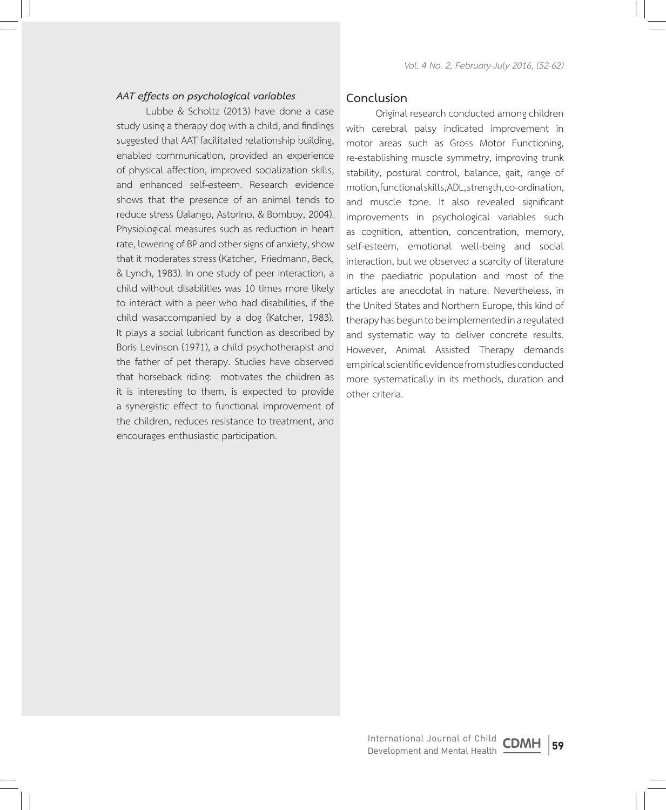### *AAT effects on psychological variables*

Lubbe & Scholtz (2013) have done a case study using a therapy dog with a child, and findings suggested that AAT facilitated relationship building, enabled communication, provided an experience of physical affection, improved socialization skills, and enhanced self-esteem. Research evidence shows that the presence of an animal tends to reduce stress (Jalango, Astorino, & Bomboy, 2004). Physiological measures such as reduction in heart rate, lowering of BP and other signs of anxiety, show that it moderates stress (Katcher, Friedmann, Beck, & Lynch, 1983). In one study of peer interaction, a child without disabilities was 10 times more likely to interact with a peer who had disabilities, if the child wasaccompanied by a dog (Katcher, 1983). It plays a social lubricant function as described by Boris Levinson (1971), a child psychotherapist and the father of pet therapy. Studies have observed that horseback riding: motivates the children as it is interesting to them, is expected to provide a synergistic effect to functional improvement of the children, reduces resistance to treatment, and encourages enthusiastic participation.

### **Conclusion**

Original research conducted among children with cerebral palsy indicated improvement in motor areas such as Gross Motor Functioning, re-establishing muscle symmetry, improving trunk stability, postural control, balance, gait, range of motion, functional skills, ADL, strength, co-ordination, and muscle tone. It also revealed significant improvements in psychological variables such as cognition, attention, concentration, memory, self-esteem, emotional well-being and social interaction, but we observed a scarcity of literature in the paediatric population and most of the articles are anecdotal in nature. Nevertheless, in the United States and Northern Europe, this kind of therapy has begun to be implemented in a regulated and systematic way to deliver concrete results. However, Animal Assisted Therapy demands empirical scientific evidence from studies conducted more systematically in its methods, duration and other criteria.

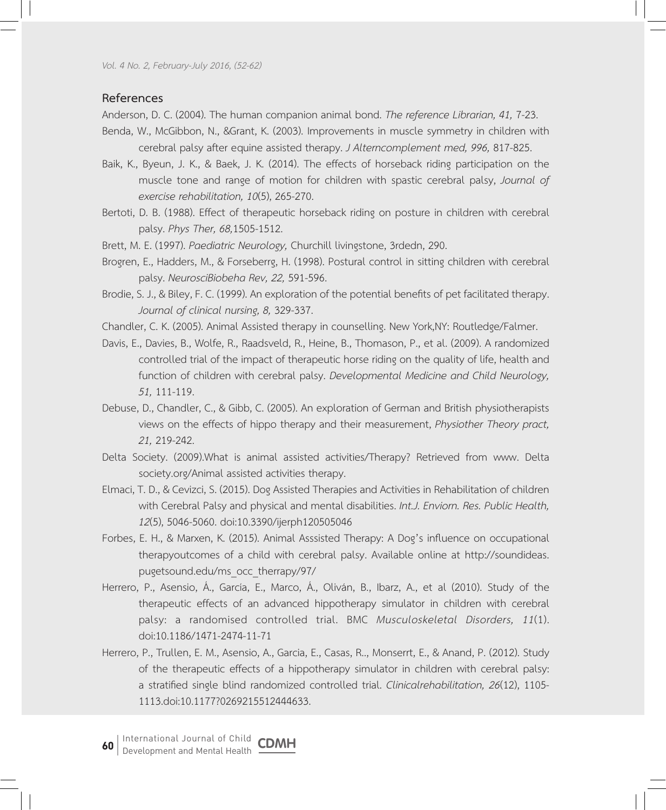*Vol. 4 No. 2, February-July 2016, (52-62)*

## **References**

Anderson, D. C. (2004). The human companion animal bond. *The reference Librarian, 41,* 7-23.

- Benda, W., McGibbon, N., &Grant, K. (2003). Improvements in muscle symmetry in children with cerebral palsy after equine assisted therapy. *J Alterncomplement med, 996,* 817-825.
- Baik, K., Byeun, J. K., & Baek, J. K. (2014). The effects of horseback riding participation on the muscle tone and range of motion for children with spastic cerebral palsy, *Journal of exercise rehabilitation, 10*(5), 265-270.
- Bertoti, D. B. (1988). Effect of therapeutic horseback riding on posture in children with cerebral palsy. *Phys Ther, 68,*1505-1512.
- Brett, M. E. (1997). *Paediatric Neurology,* Churchill livingstone, 3rdedn, 290.
- Brogren, E., Hadders, M., & Forseberrg, H. (1998). Postural control in sitting children with cerebral palsy. *NeurosciBiobeha Rev, 22,* 591-596.
- Brodie, S. J., & Biley, F. C. (1999). An exploration of the potential benefits of pet facilitated therapy. *Journal of clinical nursing, 8,* 329-337.
- Chandler, C. K. (2005). Animal Assisted therapy in counselling. New York,NY: Routledge/Falmer.
- Davis, E., Davies, B., Wolfe, R., Raadsveld, R., Heine, B., Thomason, P., et al. (2009). A randomized controlled trial of the impact of therapeutic horse riding on the quality of life, health and function of children with cerebral palsy. *Developmental Medicine and Child Neurology, 51,* 111-119.
- Debuse, D., Chandler, C., & Gibb, C. (2005). An exploration of German and British physiotherapists views on the effects of hippo therapy and their measurement, *Physiother Theory pract, 21,* 219-242.
- Delta Society. (2009).What is animal assisted activities/Therapy? Retrieved from www. Delta society.org/Animal assisted activities therapy.
- Elmaci, T. D., & Cevizci, S. (2015). Dog Assisted Therapies and Activities in Rehabilitation of children with Cerebral Palsy and physical and mental disabilities. *Int.J. Enviorn. Res. Public Health, 12*(5), 5046-5060. doi:10.3390/ijerph120505046
- Forbes, E. H., & Marxen, K. (2015). Animal Asssisted Therapy: A Dog's influence on occupational therapyoutcomes of a child with cerebral palsy. Available online at http://soundideas. pugetsound.edu/ms\_occ\_therrapy/97/
- Herrero, P., Asensio, Á., García, E., Marco, Á., Oliván, B., Ibarz, A., et al (2010). Study of the therapeutic effects of an advanced hippotherapy simulator in children with cerebral palsy: a randomised controlled trial. BMC *Musculoskeletal Disorders, 11*(1). doi:10.1186/1471-2474-11-71
- Herrero, P., Trullen, E. M., Asensio, A., Garcia, E., Casas, R.., Monserrt, E., & Anand, P. (2012). Study of the therapeutic effects of a hippotherapy simulator in children with cerebral palsy: a stratified single blind randomized controlled trial. *Clinicalrehabilitation, 26*(12), 1105- 1113.doi:10.1177?0269215512444633.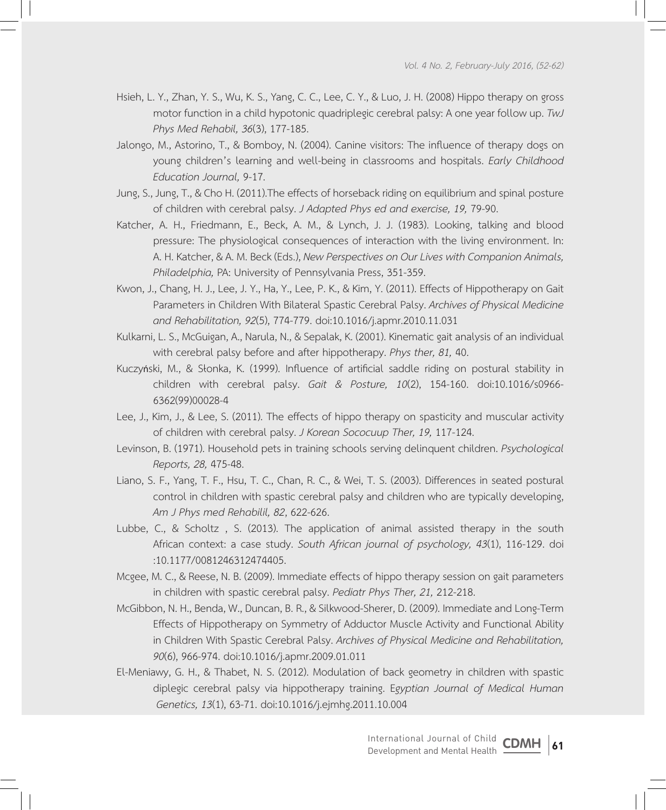- Hsieh, L. Y., Zhan, Y. S., Wu, K. S., Yang, C. C., Lee, C. Y., & Luo, J. H. (2008) Hippo therapy on gross motor function in a child hypotonic quadriplegic cerebral palsy: A one year follow up. *TwJ Phys Med Rehabil, 36*(3), 177-185.
- Jalongo, M., Astorino, T., & Bomboy, N. (2004). Canine visitors: The influence of therapy dogs on young children's learning and well-being in classrooms and hospitals. *Early Childhood Education Journal,* 9-17.
- Jung, S., Jung, T., & Cho H. (2011).The effects of horseback riding on equilibrium and spinal posture of children with cerebral palsy. *J Adapted Phys ed and exercise, 19,* 79-90.
- Katcher, A. H., Friedmann, E., Beck, A. M., & Lynch, J. J. (1983). Looking, talking and blood pressure: The physiological consequences of interaction with the living environment. In: A. H. Katcher, & A. M. Beck (Eds.), *New Perspectives on Our Lives with Companion Animals, Philadelphia,* PA: University of Pennsylvania Press, 351-359.
- Kwon, J., Chang, H. J., Lee, J. Y., Ha, Y., Lee, P. K., & Kim, Y. (2011). Effects of Hippotherapy on Gait Parameters in Children With Bilateral Spastic Cerebral Palsy. *Archives of Physical Medicine and Rehabilitation, 92*(5), 774-779. doi:10.1016/j.apmr.2010.11.031
- Kulkarni, L. S., McGuigan, A., Narula, N., & Sepalak, K. (2001). Kinematic gait analysis of an individual with cerebral palsy before and after hippotherapy. *Phys ther, 81,* 40.
- Kuczyński, M., & Słonka, K. (1999). Influence of artificial saddle riding on postural stability in children with cerebral palsy. *Gait & Posture, 10*(2), 154-160. doi:10.1016/s0966- 6362(99)00028-4
- Lee, J., Kim, J., & Lee, S. (2011). The effects of hippo therapy on spasticity and muscular activity of children with cerebral palsy. *J Korean Sococuup Ther, 19,* 117-124.
- Levinson, B. (1971). Household pets in training schools serving delinquent children. *Psychological Reports, 28,* 475-48.
- Liano, S. F., Yang, T. F., Hsu, T. C., Chan, R. C., & Wei, T. S. (2003). Differences in seated postural control in children with spastic cerebral palsy and children who are typically developing, *Am J Phys med Rehabilil, 82*, 622-626.
- Lubbe, C., & Scholtz , S. (2013). The application of animal assisted therapy in the south African context: a case study. *South African journal of psychology, 43*(1), 116-129. doi :10.1177/0081246312474405.
- Mcgee, M. C., & Reese, N. B. (2009). Immediate effects of hippo therapy session on gait parameters in children with spastic cerebral palsy. *Pediatr Phys Ther, 21,* 212-218.
- McGibbon, N. H., Benda, W., Duncan, B. R., & Silkwood-Sherer, D. (2009). Immediate and Long-Term Effects of Hippotherapy on Symmetry of Adductor Muscle Activity and Functional Ability in Children With Spastic Cerebral Palsy. *Archives of Physical Medicine and Rehabilitation, 90*(6), 966-974. doi:10.1016/j.apmr.2009.01.011
- El-Meniawy, G. H., & Thabet, N. S. (2012). Modulation of back geometry in children with spastic diplegic cerebral palsy via hippotherapy training. E*gyptian Journal of Medical Human Genetics, 13*(1), 63-71. doi:10.1016/j.ejmhg.2011.10.004